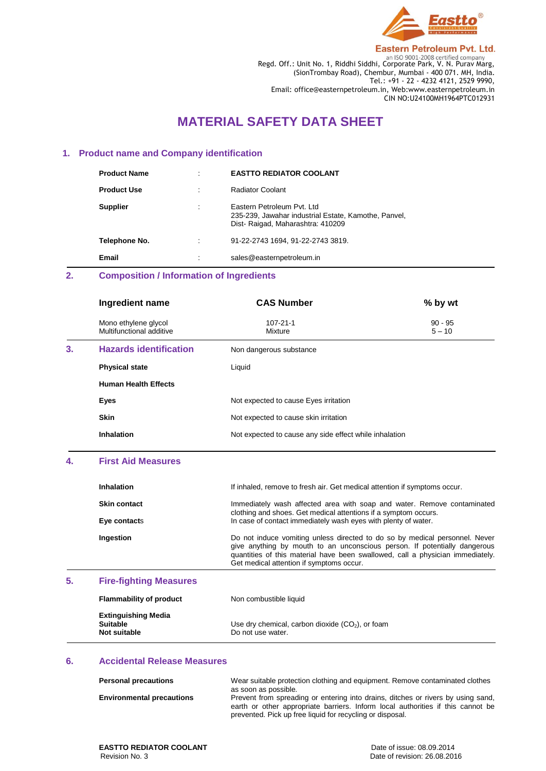

**Eastern Petroleum Pvt. Ltd.** 

**Regd. Off.: Unit No. 1, Riddhi Siddhi, Corporate Park, V. N. Purav Marg,** Regd. Off.: Unit No. 1, Riddhi Siddhi, Corporate Park, V. N. Purav Marg, (SionTrombay Road), Chembur, Mumbai - 400 071. MH, India. Tel.: +91 - 22 - 4232 4121, 2529 9990, Email: office@easternpetroleum.in, Web:www.easternpetroleum.in CIN NO:U24100MH1964PTC012931

# **MATERIAL SAFETY DATA SHEET**

### **1. Product name and Company identification**

| <b>Product Name</b> | ٠         | <b>EASTTO REDIATOR COOLANT</b>                                                                                          |
|---------------------|-----------|-------------------------------------------------------------------------------------------------------------------------|
| <b>Product Use</b>  |           | Radiator Coolant                                                                                                        |
| <b>Supplier</b>     |           | Eastern Petroleum Pyt. Ltd.<br>235-239, Jawahar industrial Estate, Kamothe, Panvel,<br>Dist-Raigad, Maharashtra: 410209 |
| Telephone No.       |           | 91-22-2743 1694, 91-22-2743 3819.                                                                                       |
| Email               | $\bullet$ | sales@easternpetroleum.in                                                                                               |

# **2. Composition / Information of Ingredients**

|    | Ingredient name                                  | <b>CAS Number</b>                                      | % by wt               |
|----|--------------------------------------------------|--------------------------------------------------------|-----------------------|
|    | Mono ethylene glycol<br>Multifunctional additive | $107 - 21 - 1$<br>Mixture                              | $90 - 95$<br>$5 - 10$ |
| 3. | <b>Hazards identification</b>                    | Non dangerous substance                                |                       |
|    | <b>Physical state</b>                            | Liquid                                                 |                       |
|    | <b>Human Health Effects</b>                      |                                                        |                       |
|    | Eyes                                             | Not expected to cause Eyes irritation                  |                       |
|    | <b>Skin</b>                                      | Not expected to cause skin irritation                  |                       |
|    | <b>Inhalation</b>                                | Not expected to cause any side effect while inhalation |                       |

#### **4. First Aid Measures**

| Inhalation          | If inhaled, remove to fresh air. Get medical attention if symptoms occur.                                                                                                                                                                                                              |
|---------------------|----------------------------------------------------------------------------------------------------------------------------------------------------------------------------------------------------------------------------------------------------------------------------------------|
| <b>Skin contact</b> | Immediately wash affected area with soap and water. Remove contaminated<br>clothing and shoes. Get medical attentions if a symptom occurs.                                                                                                                                             |
| Eye contacts        | In case of contact immediately wash eyes with plenty of water.                                                                                                                                                                                                                         |
| Ingestion           | Do not induce vomiting unless directed to do so by medical personnel. Never<br>give anything by mouth to an unconscious person. If potentially dangerous<br>quantities of this material have been swallowed, call a physician immediately.<br>Get medical attention if symptoms occur. |

# **5. Fire-fighting Measures**

| <b>Flammability of product</b>                                | Non combustible liquid                                                  |
|---------------------------------------------------------------|-------------------------------------------------------------------------|
| <b>Extinguishing Media</b><br><b>Suitable</b><br>Not suitable | Use dry chemical, carbon dioxide $(CO2)$ , or foam<br>Do not use water. |

#### **6. Accidental Release Measures**

| <b>Personal precautions</b>      | Wear suitable protection clothing and equipment. Remove contaminated clothes<br>as soon as possible.                                                                                                                             |
|----------------------------------|----------------------------------------------------------------------------------------------------------------------------------------------------------------------------------------------------------------------------------|
| <b>Environmental precautions</b> | Prevent from spreading or entering into drains, ditches or rivers by using sand,<br>earth or other appropriate barriers. Inform local authorities if this cannot be<br>prevented. Pick up free liquid for recycling or disposal. |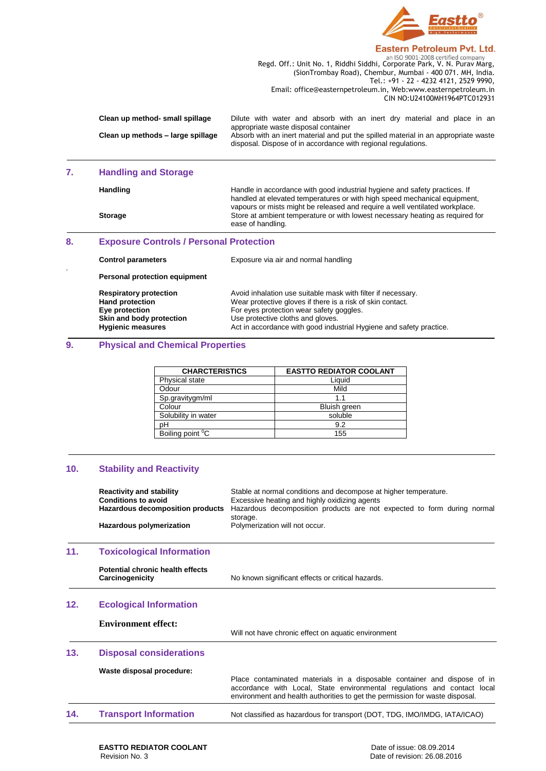

#### Eastern Petroleum Pvt. Ltd.

**Regd. Off.: Unit No. 1, Riddhi Siddhi, Corporate Park, V. N. Purav Marg,** Regd. Off.: Unit No. 1, Riddhi Siddhi, Corporate Park, V. N. Purav Marg, (SionTrombay Road), Chembur, Mumbai - 400 071. MH, India. Tel.: +91 - 22 - 4232 4121, 2529 9990, Email: office@easternpetroleum.in, Web:www.easternpetroleum.in CIN NO:U24100MH1964PTC012931

| Clean up method- small spillage   | Dilute with water and absorb with an inert dry material and place in an                                                                                                                     |
|-----------------------------------|---------------------------------------------------------------------------------------------------------------------------------------------------------------------------------------------|
| Clean up methods - large spillage | appropriate waste disposal container<br>Absorb with an inert material and put the spilled material in an appropriate waste<br>disposal. Dispose of in accordance with regional regulations. |

# **7. Handling and Storage**

.

|    | Handling                                       | Handle in accordance with good industrial hygiene and safety practices. If<br>handled at elevated temperatures or with high speed mechanical equipment,<br>vapours or mists might be released and require a well ventilated workplace. |
|----|------------------------------------------------|----------------------------------------------------------------------------------------------------------------------------------------------------------------------------------------------------------------------------------------|
|    | <b>Storage</b>                                 | Store at ambient temperature or with lowest necessary heating as required for<br>ease of handling.                                                                                                                                     |
| 8. | <b>Exposure Controls / Personal Protection</b> |                                                                                                                                                                                                                                        |
|    | <b>Control parameters</b>                      | Exposure via air and normal handling                                                                                                                                                                                                   |

**Personal protection equipment**

| <b>Respiratory protection</b><br><b>Hand protection</b> | Avoid inhalation use suitable mask with filter if necessary.<br>Wear protective gloves if there is a risk of skin contact. |
|---------------------------------------------------------|----------------------------------------------------------------------------------------------------------------------------|
| Eye protection                                          | For eyes protection wear safety goggles.                                                                                   |
| Skin and body protection                                | Use protective cloths and gloves.                                                                                          |
| <b>Hygienic measures</b>                                | Act in accordance with good industrial Hygiene and safety practice.                                                        |
|                                                         |                                                                                                                            |

#### **9. Physical and Chemical Properties**

| <b>CHARCTERISTICS</b>        | <b>EASTTO REDIATOR COOLANT</b> |
|------------------------------|--------------------------------|
| Physical state               | Liquid                         |
| Odour                        | Mild                           |
| Sp.gravitygm/ml              | 11                             |
| Colour                       | Bluish green                   |
| Solubility in water          | soluble                        |
| рH                           | 9.2                            |
| Boiling point <sup>o</sup> C | 155                            |

#### **10. Stability and Reactivity**

|     | <b>Reactivity and stability</b><br><b>Conditions to avoid</b><br><b>Hazardous decomposition products</b><br>Hazardous polymerization | Stable at normal conditions and decompose at higher temperature.<br>Excessive heating and highly oxidizing agents<br>Hazardous decomposition products are not expected to form during normal<br>storage.<br>Polymerization will not occur. |
|-----|--------------------------------------------------------------------------------------------------------------------------------------|--------------------------------------------------------------------------------------------------------------------------------------------------------------------------------------------------------------------------------------------|
| 11. | <b>Toxicological Information</b>                                                                                                     |                                                                                                                                                                                                                                            |
|     | Potential chronic health effects<br>Carcinogenicity                                                                                  | No known significant effects or critical hazards.                                                                                                                                                                                          |
| 12. | <b>Ecological Information</b>                                                                                                        |                                                                                                                                                                                                                                            |
|     | <b>Environment effect:</b>                                                                                                           | Will not have chronic effect on aquatic environment                                                                                                                                                                                        |
| 13. | <b>Disposal considerations</b>                                                                                                       |                                                                                                                                                                                                                                            |
|     | Waste disposal procedure:                                                                                                            | Place contaminated materials in a disposable container and dispose of in<br>accordance with Local, State environmental regulations and contact local<br>environment and health authorities to get the permission for waste disposal.       |
| 14. | <b>Transport Information</b>                                                                                                         | Not classified as hazardous for transport (DOT, TDG, IMO/IMDG, IATA/ICAO)                                                                                                                                                                  |